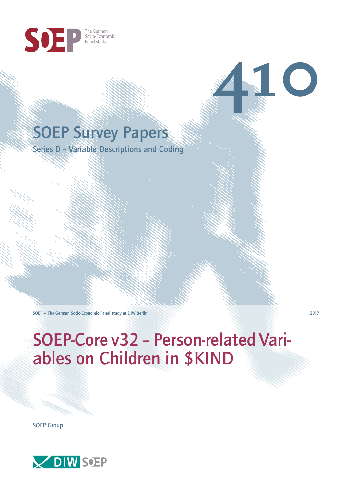

## SOEP Survey Papers

Series D – Variable Descriptions and Coding

SOEP — The German Socio-Economic Panel study at DIW Berlin 2017

**410**

# SOEP-Core v32 – Person-related Variables on Children in \$KIND

SOEP Group

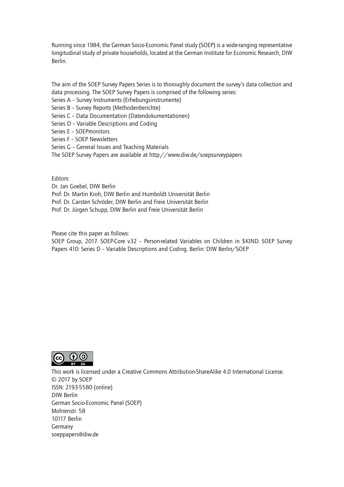Running since 1984, the German Socio-Economic Panel study (SOEP) is a wide-ranging representative longitudinal study of private households, located at the German Institute for Economic Research, DIW Berlin.

The aim of the SOEP Survey Papers Series is to thoroughly document the survey's data collection and data processing. The SOEP Survey Papers is comprised of the following series:

- Series A Survey Instruments (Erhebungsinstrumente)
- Series B Survey Reports (Methodenberichte)
- Series C Data Documentation (Datendokumentationen)
- Series D Variable Descriptions and Coding
- Series E SOEPmonitors
- Series F SOEP Newsletters
- Series G General Issues and Teaching Materials
- The SOEP Survey Papers are available at http://www.diw.de/soepsurveypapers

Editors:

Dr. Jan Goebel, DIW Berlin

- Prof. Dr. Martin Kroh, DIW Berlin and Humboldt Universität Berlin
- Prof. Dr. Carsten Schröder, DIW Berlin and Freie Universität Berlin
- Prof. Dr. Jürgen Schupp, DIW Berlin and Freie Universität Berlin

Please cite this paper as follows:

SOEP Group, 2017. SOEP-Core v32 – Person-related Variables on Children in \$KIND. SOEP Survey Papers 410: Series D – Variable Descriptions and Coding. Berlin: DIW Berlin/SOEP



This work is licensed under a Creative Commons Attribution-ShareAlike 4.0 International License. © 2017 by SOEP ISSN: 2193-5580 (online) DIW Berlin German Socio-Economic Pan[el \(SOEP\)](http://creativecommons.org/licenses/by-sa/4.0/) Mohrenstr. 58 10117 Berlin Germany soeppapers@diw.de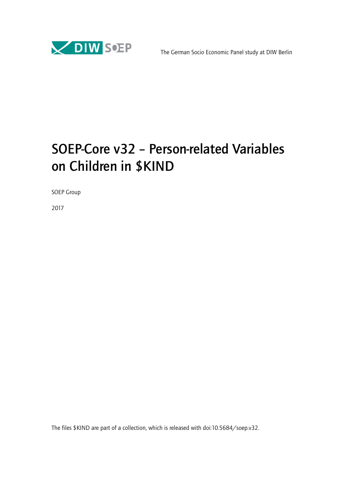

## SOEP-Core v32 – Person-related Variables on Children in \$KIND

SOEP Group

2017

The files \$KIND are part of a collection, which is released with doi:10.5684/soep.v32.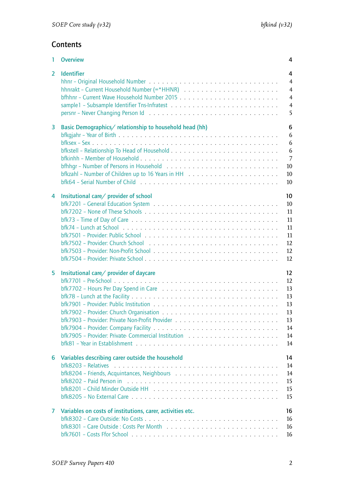## **Contents**

| 1              | <b>Overview</b>                                                                                                                                                         | 4                                                                              |
|----------------|-------------------------------------------------------------------------------------------------------------------------------------------------------------------------|--------------------------------------------------------------------------------|
| $\overline{2}$ | <b>Identifier</b>                                                                                                                                                       | 4<br>$\overline{4}$<br>$\overline{4}$<br>$\overline{4}$<br>$\overline{4}$<br>5 |
| 3              | Basic Demographics/relationship to household head (hh)                                                                                                                  | 6<br>6<br>6<br>6<br>$\overline{7}$<br>10<br>10<br>10                           |
| 4              | Insitutional care/ provider of school                                                                                                                                   | 10 <sup>°</sup><br>10<br>11<br>11<br>11<br>11<br>12<br>12<br>12                |
| 5              | Insitutional care/ provider of daycare<br>bfk7904 – Provider: Company Facility $\ldots \ldots \ldots \ldots \ldots \ldots \ldots \ldots \ldots \ldots \ldots \ldots$    | $12 \overline{ }$<br>12<br>13<br>13<br>13<br>13<br>13<br>14<br>14<br>14        |
| 6              | Variables describing carer outside the household<br>$bf8$ 8203 – Relatives $\ldots \ldots \ldots \ldots \ldots \ldots \ldots \ldots \ldots \ldots \ldots \ldots \ldots$ | 14<br>14<br>14<br>15<br>15<br>15                                               |
| 7              | Variables on costs of institutions, carer, activities etc.                                                                                                              | 16<br>16<br>16<br>16                                                           |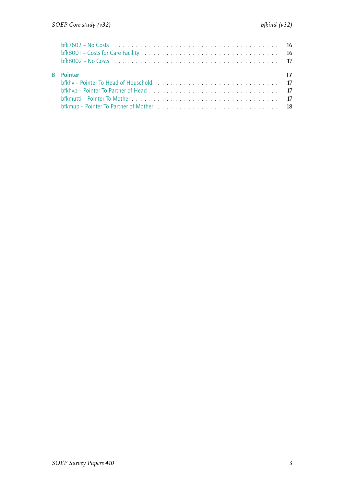| $bf/7602 - No \text{Cost}$<br>bfk8001 – Costs for Care Facility $\ldots \ldots \ldots \ldots \ldots \ldots \ldots \ldots \ldots \ldots \ldots \ldots$                                                                          |  |
|--------------------------------------------------------------------------------------------------------------------------------------------------------------------------------------------------------------------------------|--|
| 8 Pointer                                                                                                                                                                                                                      |  |
| bfkhv – Pointer To Head of Household enterprise in the service of the service of the service of the service of the service of the service of the service of the service of the service of the service of the service of the se |  |
|                                                                                                                                                                                                                                |  |
|                                                                                                                                                                                                                                |  |
|                                                                                                                                                                                                                                |  |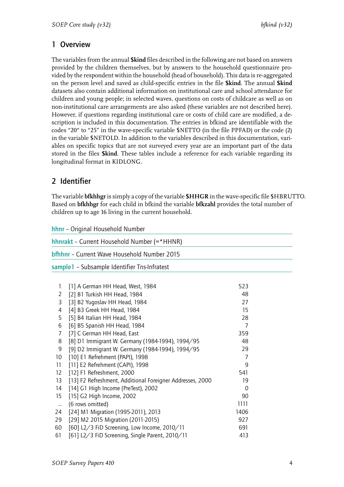## <span id="page-5-0"></span>1 Overview

The variables from the annual **\$kind** files described in the following are not based on answers provided by the children themselves, but by answers to the household questionnaire provided by the respondent within the household (head of household). This data is re-aggregated on the person level and saved as child-specific entries in the file **\$kind**. The annual **\$kind** datasets also contain additional information on institutional care and school attendance for children and young people; in selected waves, questions on costs of childcare as well as on non-institutional care arrangements are also asked (these variables are not described here). However, if questions regarding institutional care or costs of child care are modified, a description is included in this documentation. The entries in bfkind are identifiable with the codes "20" to "25" in the wave-specific variable \$NETTO (in the file PPFAD) or the code (2) in the variable \$NETOLD. In addition to the variables described in this documentation, variables on specific topics that are not surveyed every year are an important part of the data stored in the files **\$kind**. These tables include a reference for each variable regarding its longitudinal format in KIDLONG.

## <span id="page-5-1"></span>2 Identifier

The variable **bfkhhgr**is simply a copy of the variable **\$HHGR** in the wave-specific file \$HBRUTTO. Based on **bfkhhgr** for each child in bfkind the variable **bfkzahl** provides the total number of children up to age 16 living in the current household.

<span id="page-5-2"></span>hhnr – Original Household Number

<span id="page-5-5"></span><span id="page-5-4"></span><span id="page-5-3"></span>

|                   | hhnrakt - Current Household Number (=*HHNR)               |                |  |
|-------------------|-----------------------------------------------------------|----------------|--|
|                   | <b>bfhhnr</b> - Current Wave Household Number 2015        |                |  |
|                   | sample1 - Subsample Identifier Tns-Infratest              |                |  |
|                   |                                                           |                |  |
| 1                 | [1] A German HH Head, West, 1984                          | 523            |  |
| 2                 | [2] B1 Turkish HH Head, 1984                              | 48             |  |
| 3                 | [3] B2 Yugoslav HH Head, 1984                             | 27             |  |
| 4                 | [4] B3 Greek HH Head, 1984                                | 15             |  |
| 5                 | [5] B4 Italian HH Head, 1984                              | 28             |  |
| 6                 | [6] B5 Spanish HH Head, 1984                              | 7              |  |
| 7                 | [7] C German HH Head, East                                | 359            |  |
| 8                 | [8] D1 Immigrant W. Germany (1984-1994), 1994/95          | 48             |  |
| 9                 | [9] D2 Immigrant W. Germany (1984-1994), 1994/95          | 29             |  |
| 10                | [10] E1 Refrehment (PAPI), 1998                           | $\overline{7}$ |  |
| 11                | [11] E2 Refrehment (CAPI), 1998                           | 9              |  |
| $12 \overline{ }$ | [12] F1 Refreshment, 2000                                 | 541            |  |
| 13                | [13] F2 Refreshment, Additional Foreigner Addresses, 2000 | 19             |  |
| 14                | [14] G1 High Income (PreTest), 2002                       | $\Omega$       |  |
| 15                | [15] G2 High Income, 2002                                 | 90             |  |
| $\ddotsc$         | (6 rows omitted)                                          | 1111           |  |
| 24                | [24] M1 Migration (1995-2011), 2013                       | 1406           |  |
| 29                | [29] M2 2015 Migration (2011-2015)                        | 927            |  |
| 60                | [60] L2/3 FiD Screening, Low Income, 2010/11              | 691            |  |
| 61                | [61] L2/3 FiD Screening, Single Parent, 2010/11           | 413            |  |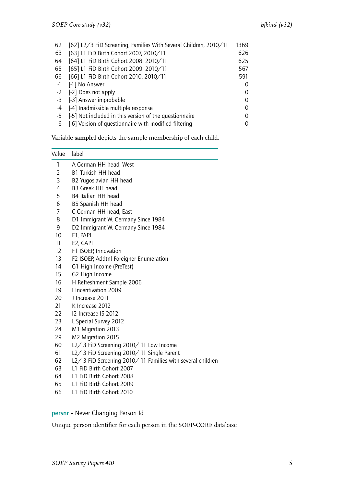| 62   | [62] L2/3 FiD Screening, Families With Several Children, 2010/11 | 1369     |
|------|------------------------------------------------------------------|----------|
| 63   | [63] L1 FiD Birth Cohort 2007, 2010/11                           | 626      |
| 64   | [64] L1 FiD Birth Cohort 2008, 2010/11                           | 625      |
| 65   | [65] L1 FiD Birth Cohort 2009, 2010/11                           | 567      |
| 66   | [66] L1 FiD Birth Cohort 2010, 2010/11                           | 591      |
| $-1$ | [-1] No Answer                                                   | $\Omega$ |
| $-2$ | [-2] Does not apply                                              | 0        |
| $-3$ | [-3] Answer improbable                                           | 0        |
| -4   | [-4] Inadmissible multiple response                              | 0        |
| -5   | [-5] Not included in this version of the questionnaire           | $\Omega$ |
| -6   | [-6] Version of questionnaire with modified filtering            | 0        |

Variable **sample1** depicts the sample membership of each child.

| Value            | label                                                       |
|------------------|-------------------------------------------------------------|
| 1                | A German HH head, West                                      |
| 2                | B1 Turkish HH head                                          |
| 3                | B2 Yugoslavian HH head                                      |
| 4                | B3 Greek HH head                                            |
| 5                | B4 Italian HH head                                          |
| 6                | B5 Spanish HH head                                          |
| $\overline{7}$   | C German HH head, East                                      |
| 8                | D1 Immigrant W. Germany Since 1984                          |
| 9                | D2 Immigrant W. Germany Since 1984                          |
| 10               | E1, PAPI                                                    |
| 11               | E2, CAPI                                                    |
| 12 <sup>2</sup>  | F1 ISOEP, Innovation                                        |
| 13               | F2 ISOEP, Addtnl Foreigner Enumeration                      |
| 14               | G1 High Income (PreTest)                                    |
| 15 <sub>15</sub> | G2 High Income                                              |
| 16               | H Refreshment Sample 2006                                   |
| 19               | 1 Incentivation 2009                                        |
| 20               | J Increase 2011                                             |
| 21               | K Increase 2012                                             |
| 22               | 12 Increase IS 2012                                         |
| 23               | L Special Survey 2012                                       |
| 24               | M1 Migration 2013                                           |
| 29               | M2 Migration 2015                                           |
| 60               | L2/ 3 FiD Screening 2010/ 11 Low Income                     |
| 61               | L2/ 3 FiD Screening 2010/ 11 Single Parent                  |
| 62               | L2/ 3 FiD Screening 2010/ 11 Families with several children |
| 63               | L1 FiD Birth Cohort 2007                                    |
| 64               | L1 FiD Birth Cohort 2008                                    |
|                  |                                                             |

- 65 L1 FiD Birth Cohort 2009
- 66 L1 FiD Birth Cohort 2010

<span id="page-6-0"></span>persnr – Never Changing Person Id

Unique person identifier for each person in the SOEP-CORE database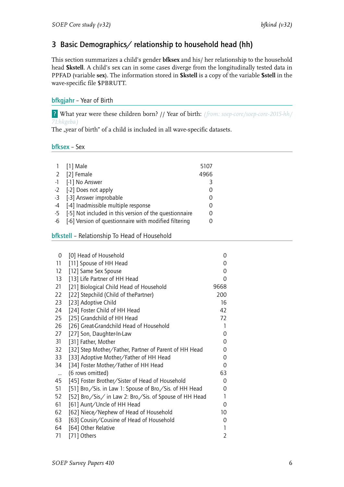## <span id="page-7-0"></span>3 Basic Demographics/ relationship to household head (hh)

This section summarizes a child's gender **bfksex** and his/ her relationship to the household head **\$kstell**. A child's sex can in some cases diverge from the longitudinally tested data in PPFAD (variable **sex**). The information stored in **\$kstell** is a copy of the variable **\$stell** in the wave-specific file \$PBRUTT.

#### <span id="page-7-1"></span>bfkgjahr – Year of Birth

? What year were these children born? // Year of birth: *(from: soep-core/soep-core-2015-hh/ 71:hkgeba)*

The "year of birth" of a child is included in all wave-specific datasets.

<span id="page-7-2"></span>bfksex – Sex

| 1 [1] Male                                                | 5107     |
|-----------------------------------------------------------|----------|
| 2 [2] Female                                              | 4966     |
| -1 [-1] No Answer                                         | 3        |
| -2 [-2] Does not apply                                    | $\Omega$ |
| -3 [-3] Answer improbable                                 | 0        |
| -4 [-4] Inadmissible multiple response                    | O        |
| -5 [-5] Not included in this version of the questionnaire | 0        |
| -6 [-6] Version of questionnaire with modified filtering  |          |
|                                                           |          |

#### <span id="page-7-3"></span>bfkstell – Relationship To Head of Household

| 0         | [0] Head of Household                                    | 0              |
|-----------|----------------------------------------------------------|----------------|
| 11        | [11] Spouse of HH Head                                   | 0              |
| 12        | [12] Same Sex Spouse                                     | 0              |
| 13        | [13] Life Partner of HH Head                             | 0              |
| 21        | [21] Biological Child Head of Household                  | 9668           |
| 22        | [22] Stepchild (Child of thePartner)                     | 200            |
| 23        | [23] Adoptive Child                                      | 16             |
| 24        | [24] Foster Child of HH Head                             | 42             |
| 25        | [25] Grandchild of HH Head                               | 72             |
| 26        | [26] Great-Grandchild Head of Household                  | 1              |
| 27        | [27] Son, Daughter-In-Law                                | 0              |
| 31        | [31] Father, Mother                                      | 0              |
| 32        | [32] Step Mother/Father, Partner of Parent of HH Head    | 0              |
| 33        | [33] Adoptive Mother/Father of HH Head                   | 0              |
| 34        | [34] Foster Mother/Father of HH Head                     | 0              |
| $\ddotsc$ | (6 rows omitted)                                         | 63             |
| 45        | [45] Foster Brother/Sister of Head of Household          | 0              |
| 51        | [51] Bro./Sis. in Law 1: Spouse of Bro./Sis. of HH Head  | 0              |
| 52        | [52] Bro./Sis./ in Law 2: Bro./Sis. of Spouse of HH Head | 1              |
| 61        | [61] Aunt/Uncle of HH Head                               | 0              |
| 62        | [62] Niece/Nephew of Head of Household                   | 10             |
| 63        | [63] Cousin/Cousine of Head of Household                 | 0              |
| 64        | [64] Other Relative                                      | 1              |
| 71        | [71] Others                                              | $\overline{2}$ |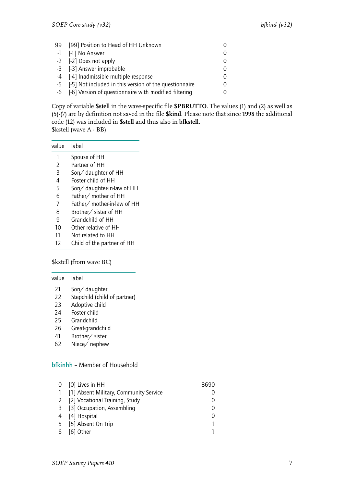| 99 [99] Position to Head of HH Unknown                    |  |
|-----------------------------------------------------------|--|
| -1 [-1] No Answer                                         |  |
| -2 [-2] Does not apply                                    |  |
| -3 [-3] Answer improbable                                 |  |
| -4 [-4] Inadmissible multiple response                    |  |
| -5 [-5] Not included in this version of the questionnaire |  |
| -6 [-6] Version of questionnaire with modified filtering  |  |

Copy of variable **\$stell** in the wave-specific file **\$PBRUTTO**. The values (1) and (2) as well as (5)-(7) are by definition not saved in the file **\$kind**. Please note that since **1998** the additional code (12) was included in **\$stell** and thus also in **bfkstell**. \$kstell (wave A - BB)

| value | lahel |   |  |
|-------|-------|---|--|
|       |       | . |  |

- 1 Spouse of HH<br>2 Partner of HH Partner of HH
- 3 Son/ daughter of HH
- 4 Foster child of HH
- 5 Son/ daughter-in-law of HH
- 6 Father/ mother of HH
- 7 Father/ mother-in-law of HH
- 8 Brother/ sister of HH
- 9 Grandchild of HH
- 10 Other relative of HH
- 11 Not related to HH
- 12 Child of the partner of HH

\$kstell (from wave BC)

| value | lahel                        |
|-------|------------------------------|
| 21    | Son/daughter                 |
| 22    | Stepchild (child of partner) |
| 23    | Adoptive child               |
| 24    | Foster child                 |
| 25    | Grandchild                   |
| 26    | Great-grandchild             |
| 41    | Brother/ sister              |

62 Niece/ nephew

#### <span id="page-8-0"></span>bfkinhh – Member of Household

|   | 0 [0] Lives in HH                        | 8690 |
|---|------------------------------------------|------|
|   | 1 [1] Absent Military, Community Service |      |
|   | 2 [2] Vocational Training, Study         |      |
|   | 3 [3] Occupation, Assembling             |      |
|   | 4 [4] Hospital                           |      |
|   | 5 [5] Absent On Trip                     |      |
| 6 | [6] Other                                |      |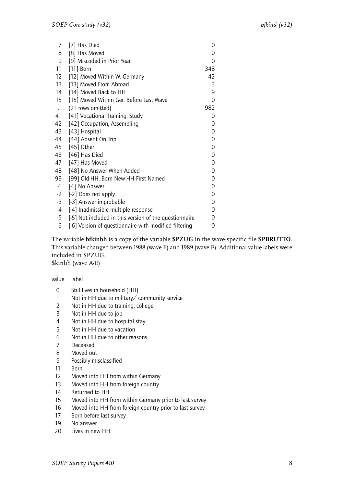| 7            | [7] Has Died                                           | 0           |
|--------------|--------------------------------------------------------|-------------|
| 8            | [8] Has Moved                                          | 0           |
| 9            | [9] Miscoded in Prior Year                             | 0           |
| 11           | $[11]$ Born                                            | 348         |
| 12           | [12] Moved Within W. Germany                           | 42          |
| 13           | [13] Moved From Abroad                                 | 3           |
| 14           | [14] Moved Back to HH                                  | 9           |
| 15           | [15] Moved Within Ger. Before Last Wave                | 0           |
| $\mathbf{u}$ | (21 rows omitted)                                      | 982         |
| 41           | [41] Vocational Training, Study                        | 0           |
| 42           | [42] Occupation, Assembling                            | 0           |
| 43           | [43] Hospital                                          | $\mathbf 0$ |
| 44           | [44] Absent On Trip                                    | $\mathbf 0$ |
| 45           | [45] Other                                             | $\mathbf 0$ |
| 46           | [46] Has Died                                          | 0           |
| 47           | [47] Has Moved                                         | 0           |
| 48           | [48] No Answer When Added                              | 0           |
| 99           | [99] Old-HH, Born New-HH First Named                   | 0           |
| $-1$         | [-1] No Answer                                         | 0           |
| $-2$         | [-2] Does not apply                                    | 0           |
| $-3$         | [-3] Answer improbable                                 | $\mathbf 0$ |
| $-4$         | [-4] Inadmissible multiple response                    | 0           |
| $-5$         | [-5] Not included in this version of the questionnaire | 0           |
| $-6$         | [-6] Version of questionnaire with modified filtering  | 0           |

The variable **bfkinhh** is a copy of the variable **\$PZUG** in the wave-specific file **\$PBRUTTO**. This variable changed between 1988 (wave E) and 1989 (wave F). Additional value labels were included in \$PZUG. \$kinhh (wave A-E)

| value | label                                                   |
|-------|---------------------------------------------------------|
| 0     | Still lives in household (HH)                           |
| 1     | Not in HH due to military/ community service            |
| 2     | Not in HH due to training, college                      |
| 3     | Not in HH due to job                                    |
| 4     | Not in HH due to hospital stay                          |
| 5     | Not in HH due to vacation                               |
| 6     | Not in HH due to other reasons                          |
| 7     | Deceased                                                |
| 8     | Moved out                                               |
| 9     | Possibly misclassified                                  |
| 11    | Born                                                    |
| 12    | Moved into HH from within Germany                       |
| 13    | Moved into HH from foreign country                      |
| 14    | Returned to HH                                          |
| 15    | Moved into HH from within Germany prior to last survey  |
| 16    | Moved into HH from foreign country prior to last survey |
| 17    | Born before last survey                                 |
| 19    | No answer                                               |
|       |                                                         |

<sup>20</sup> Lives in new HH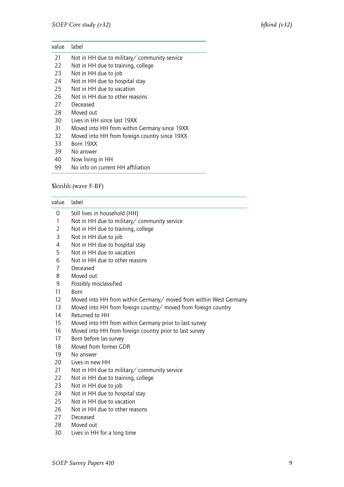| value  | label                                         |
|--------|-----------------------------------------------|
| 21     | Not in HH due to military/ community service  |
| 22     | Not in HH due to training, college            |
| 23     | Not in HH due to job                          |
| 24     | Not in HH due to hospital stay                |
| 25     | Not in HH due to vacation                     |
| 26     | Not in HH due to other reasons                |
| 27     | Deceased                                      |
| 28     | Moved out                                     |
| 30     | Lives in HH since last 19XX                   |
| 31     | Moved into HH from within Germany since 19XX  |
| 32     | Moved into HH from foreign country since 19XX |
| 33     | Born 19XX                                     |
| 39     | No answer                                     |
| $\sim$ |                                               |

- 40 Now living in HH
- 99 No info on current HH affiliation

#### \$kinhh (wave F-BF)

| value             | label                                                             |
|-------------------|-------------------------------------------------------------------|
| 0                 | Still lives in household (HH)                                     |
| 1                 | Not in HH due to military/ community service                      |
| 2                 | Not in HH due to training, college                                |
| 3                 | Not in HH due to job                                              |
| 4                 | Not in HH due to hospital stay                                    |
| 5                 | Not in HH due to vacation                                         |
| 6                 | Not in HH due to other reasons                                    |
| 7                 | Deceased                                                          |
| 8                 | Moved out                                                         |
| 9                 | Possibly misclassified                                            |
| 11                | <b>Born</b>                                                       |
| $12 \overline{ }$ | Moved into HH from within Germany/ moved from within West Germany |
| 13                | Moved into HH from foreign country/ moved from foreign country    |
| 14                | Returned to HH                                                    |
| 15                | Moved into HH from within Germany prior to last survey            |
| 16                | Moved into HH from foreign country prior to last survey           |
| 17                | Born before las survey                                            |
| 18                | Moved from former GDR                                             |
| 19                | No answer                                                         |
| 20                | Lives in new HH                                                   |
| 21                | Not in HH due to military/ community service                      |
| 22                | Not in HH due to training, college                                |
| 23                | Not in HH due to job                                              |
| 24                | Not in HH due to hospital stay                                    |
| 25                | Not in HH due to vacation                                         |
| 26                | Not in HH due to other reasons                                    |
| 27                | Deceased                                                          |
| 28                | Moved out                                                         |
| 30                | Lives in HH for a long time                                       |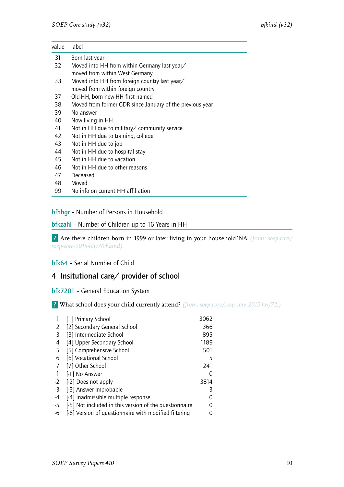| value | label                                                    |
|-------|----------------------------------------------------------|
| 31    | Born last year                                           |
| 32    | Moved into HH from within Germany last year/             |
|       | moved from within West Germany                           |
| 33    | Moved into HH from foreign country last year/            |
|       | moved from within foreign country                        |
| 37    | Old-HH, born new-HH first named                          |
| 38    | Moved from former GDR since January of the previous year |
| 39    | No answer                                                |
| 40    | Now living in HH                                         |
| 41    | Not in HH due to military/ community service             |
| 42    | Not in HH due to training, college                       |
| 43    | Not in HH due to job                                     |
| 44    | Not in HH due to hospital stay                           |
| 45    | Not in HH due to vacation                                |
| 46    | Not in HH due to other reasons                           |
| 47    | Deceased                                                 |
| 48    | Moved                                                    |

99 No info on current HH affiliation

#### <span id="page-11-0"></span>bfhhgr – Number of Persons in Household

#### <span id="page-11-1"></span>bfkzahl – Number of Children up to 16 Years in HH

? Are there children born in 1999 or later living in your household?NA *(from: soep-core/ soep-core-2015-hh/70:hkind)*

#### <span id="page-11-2"></span>bfk64 – Serial Number of Child

#### <span id="page-11-3"></span>4 Insitutional care/ provider of school

#### <span id="page-11-4"></span>bfk7201 – General Education System

? What school does your child currently attend? *(from: soep-core/soep-core-2015-hh/72;)*

|      | [1] Primary School                                     | 3062 |
|------|--------------------------------------------------------|------|
| 2    | [2] Secondary General School                           | 366  |
| 3    | [3] Intermediate School                                | 895  |
| 4    | [4] Upper Secondary School                             | 1189 |
| 5    | [5] Comprehensive School                               | 501  |
| 6    | [6] Vocational School                                  | 5    |
| 7    | [7] Other School                                       | 241  |
| $-1$ | [-1] No Answer                                         | 0    |
| $-2$ | [-2] Does not apply                                    | 3814 |
| -3   | [-3] Answer improbable                                 | 3    |
| -4   | [-4] Inadmissible multiple response                    |      |
| -5   | [-5] Not included in this version of the questionnaire |      |
| -6   | [-6] Version of questionnaire with modified filtering  |      |
|      |                                                        |      |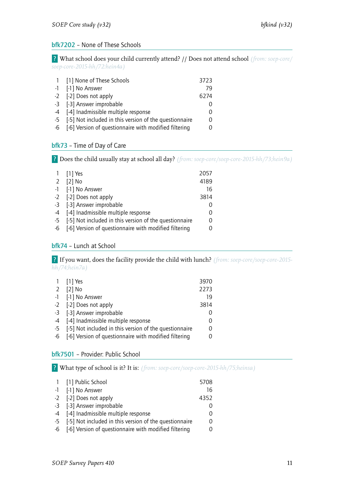#### <span id="page-12-0"></span>bfk7202 – None of These Schools

? What school does your child currently attend? // Does not attend school *(from: soep-core/ soep-core-2015-hh/72:hein4a)*

| 1 [1] None of These Schools                               | 3723 |
|-----------------------------------------------------------|------|
| -1 [-1] No Answer                                         | 79   |
| -2 [-2] Does not apply                                    | 6274 |
| -3 [-3] Answer improbable                                 |      |
| -4 [-4] Inadmissible multiple response                    |      |
| -5 [-5] Not included in this version of the questionnaire |      |
| -6 [-6] Version of questionnaire with modified filtering  |      |

#### <span id="page-12-1"></span>bfk73 – Time of Day of Care

? Does the child usually stay at school all day? *(from: soep-core/soep-core-2015-hh/73;hein9a)*

|      | 1 [1] Yes                                              | 2057     |
|------|--------------------------------------------------------|----------|
| 2    | $[2]$ No                                               | 4189     |
|      | -1 [-1] No Answer                                      | 16       |
|      | -2 [-2] Does not apply                                 | 3814     |
|      | -3 [-3] Answer improbable                              | $\Omega$ |
|      | -4 [-4] Inadmissible multiple response                 | 0        |
| $-5$ | [-5] Not included in this version of the questionnaire | 0        |
| -6   | [-6] Version of questionnaire with modified filtering  | 0        |
|      |                                                        |          |

#### <span id="page-12-2"></span>bfk74 – Lunch at School

? If you want, does the facility provide the child with lunch? *(from: soep-core/soep-core-2015 hh/74;hein7a)*

|             | 1 [1] Yes                                                 | 3970             |
|-------------|-----------------------------------------------------------|------------------|
| $2^{\circ}$ | $[2]$ No                                                  | 2273             |
|             | -1 [-1] No Answer                                         | 19               |
|             | -2 [-2] Does not apply                                    | 3814             |
|             | -3 [-3] Answer improbable                                 |                  |
|             | -4 [-4] Inadmissible multiple response                    | $\left( \right)$ |
|             | -5 [-5] Not included in this version of the questionnaire |                  |
| $-6$        | [-6] Version of questionnaire with modified filtering     |                  |

#### <span id="page-12-3"></span>bfk7501 – Provider: Public School

? What type of school is it? It is: *(from: soep-core/soep-core-2015-hh/75;heinsa)*

| 1 [1] Public School                                       | 5708 |
|-----------------------------------------------------------|------|
| -1 [-1] No Answer                                         | 16   |
| -2 [-2] Does not apply                                    | 4352 |
| -3 [-3] Answer improbable                                 | O    |
| -4 [-4] Inadmissible multiple response                    | 0    |
| -5 [-5] Not included in this version of the questionnaire | 0    |
| -6 [-6] Version of questionnaire with modified filtering  | 0    |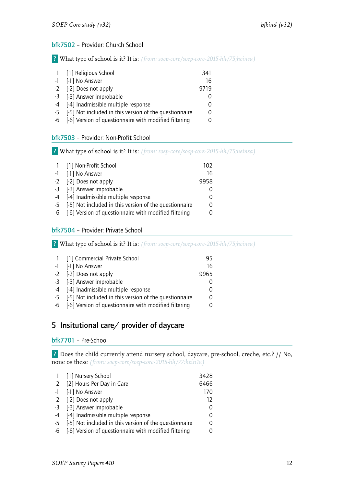#### <span id="page-13-0"></span>bfk7502 – Provider: Church School

? What type of school is it? It is: *(from: soep-core/soep-core-2015-hh/75;heinsa)*

| 1 [1] Religious School                                    | 341  |
|-----------------------------------------------------------|------|
| -1 [-1] No Answer                                         | 16   |
| -2 [-2] Does not apply                                    | 9719 |
| -3 [-3] Answer improbable                                 |      |
| -4 [-4] Inadmissible multiple response                    |      |
| -5 [-5] Not included in this version of the questionnaire |      |
| -6 [-6] Version of questionnaire with modified filtering  |      |
|                                                           |      |

#### <span id="page-13-1"></span>bfk7503 – Provider: Non-Profit School

? What type of school is it? It is: *(from: soep-core/soep-core-2015-hh/75;heinsa)*

|      | 1 [1] Non-Profit School                                  | 102  |
|------|----------------------------------------------------------|------|
|      | -1 [-1] No Answer                                        | 16   |
|      | -2 [-2] Does not apply                                   | 9958 |
|      | -3 [-3] Answer improbable                                |      |
|      | -4 [-4] Inadmissible multiple response                   |      |
| $-5$ | [-5] Not included in this version of the questionnaire   |      |
|      | -6 [-6] Version of questionnaire with modified filtering |      |

#### <span id="page-13-2"></span>bfk7504 – Provider: Private School

? What type of school is it? It is: *(from: soep-core/soep-core-2015-hh/75;heinsa)*

| $\overline{1}$ | [1] Commercial Private School                            | 95   |
|----------------|----------------------------------------------------------|------|
|                | -1 [-1] No Answer                                        | 16   |
|                | -2 [-2] Does not apply                                   | 9965 |
|                | -3 [-3] Answer improbable                                |      |
|                | -4 [-4] Inadmissible multiple response                   |      |
| $-5$           | [-5] Not included in this version of the questionnaire   |      |
|                | -6 [-6] Version of questionnaire with modified filtering |      |

### <span id="page-13-3"></span>5 Insitutional care/ provider of daycare

#### <span id="page-13-4"></span>bfk7701 – Pre-School

? Does the child currently attend nursery school, daycare, pre-school, creche, etc.? // No, none os these *(from: soep-core/soep-core-2015-hh/77:hein1a)*

| 1 [1] Nursery School                                      | 3428 |
|-----------------------------------------------------------|------|
| 2 [2] Hours Per Day in Care                               | 6466 |
| -1 [-1] No Answer                                         | 170  |
| -2 [-2] Does not apply                                    | 12   |
| -3 [-3] Answer improbable                                 |      |
| -4 [-4] Inadmissible multiple response                    |      |
| -5 [-5] Not included in this version of the questionnaire |      |
| -6 [-6] Version of questionnaire with modified filtering  |      |
|                                                           |      |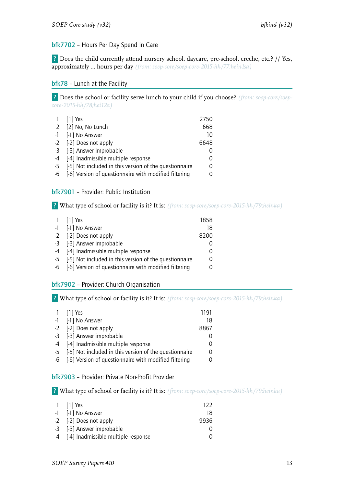#### <span id="page-14-0"></span>bfk7702 – Hours Per Day Spend in Care

? Does the child currently attend nursery school, daycare, pre-school, creche, etc.? // Yes, approximately … hours per day *(from: soep-core/soep-core-2015-hh/77:hein1sa)*

#### <span id="page-14-1"></span>bfk78 - Lunch at the Facility

? Does the school or facility serve lunch to your child if you choose? *(from: soep-core/soepcore-2015-hh/78;hei12a)*

| 1 [1] Yes                                                 | 2750     |
|-----------------------------------------------------------|----------|
| 2 [2] No, No Lunch                                        | 668      |
| -1 [-1] No Answer                                         | 10       |
| -2 [-2] Does not apply                                    | 6648     |
| -3 [-3] Answer improbable                                 |          |
| -4 [-4] Inadmissible multiple response                    |          |
| -5 [-5] Not included in this version of the questionnaire | $\Omega$ |
| -6 [-6] Version of questionnaire with modified filtering  |          |
|                                                           |          |

#### <span id="page-14-2"></span>bfk7901 – Provider: Public Institution

? What type of school or facility is it? It is: *(from: soep-core/soep-core-2015-hh/79;heinka)*

| 1 $[1]$ Yes                                               | 1858             |
|-----------------------------------------------------------|------------------|
| -1 [-1] No Answer                                         | 18               |
| -2 [-2] Does not apply                                    | 8200             |
| -3 [-3] Answer improbable                                 |                  |
| -4 [-4] Inadmissible multiple response                    | $\Omega$         |
| -5 [-5] Not included in this version of the questionnaire | 0                |
| -6 [-6] Version of questionnaire with modified filtering  | $\left( \right)$ |
|                                                           |                  |

#### <span id="page-14-3"></span>bfk7902 – Provider: Church Organisation

? What type of school or facility is it? It is: *(from: soep-core/soep-core-2015-hh/79;heinka)*

| 1 $[1]$ Yes                                               | 1191 |
|-----------------------------------------------------------|------|
| -1 [-1] No Answer                                         | 18   |
| -2 [-2] Does not apply                                    | 8867 |
| -3 [-3] Answer improbable                                 |      |
| -4 [-4] Inadmissible multiple response                    |      |
| -5 [-5] Not included in this version of the questionnaire |      |
| -6 [-6] Version of questionnaire with modified filtering  |      |

#### <span id="page-14-4"></span>bfk7903 – Provider: Private Non-Profit Provider

? What type of school or facility is it? It is: *(from: soep-core/soep-core-2015-hh/79;heinka)*

| 1 [1] Yes                              | 122  |
|----------------------------------------|------|
| -1 [-1] No Answer                      | 18   |
| -2 [-2] Does not apply                 | 9936 |
| -3 [-3] Answer improbable              |      |
| -4 [-4] Inadmissible multiple response |      |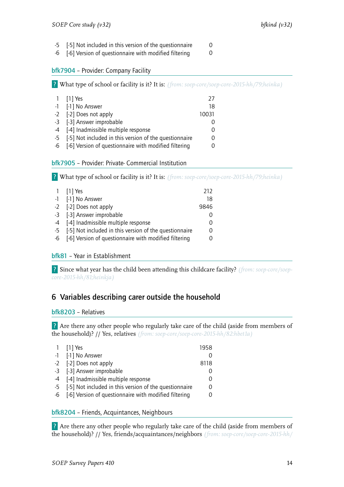- -5 [-5] Not included in this version of the questionnaire 0
- -6 [-6] Version of questionnaire with modified filtering 0

#### <span id="page-15-0"></span>bfk7904 – Provider: Company Facility

? What type of school or facility is it? It is: *(from: soep-core/soep-core-2015-hh/79;heinka)*

| 1 [1] Yes                                                 | 77    |
|-----------------------------------------------------------|-------|
| -1 [-1] No Answer                                         | 18    |
| -2 [-2] Does not apply                                    | 10031 |
| -3 [-3] Answer improbable                                 |       |
| -4 [-4] Inadmissible multiple response                    | 0     |
| -5 [-5] Not included in this version of the questionnaire | 0     |
| -6 [-6] Version of questionnaire with modified filtering  |       |

#### <span id="page-15-1"></span>bfk7905 – Provider: Private- Commercial Institution

? What type of school or facility is it? It is: *(from: soep-core/soep-core-2015-hh/79;heinka)*

| 1 [1] Yes                                                 | 212  |
|-----------------------------------------------------------|------|
| -1 [-1] No Answer                                         | 18   |
| -2 [-2] Does not apply                                    | 9846 |
| -3 [-3] Answer improbable                                 |      |
| -4 [-4] Inadmissible multiple response                    |      |
| -5 [-5] Not included in this version of the questionnaire |      |
| -6 [-6] Version of questionnaire with modified filtering  |      |

#### <span id="page-15-2"></span>bfk81 – Year in Establishment

? Since what year has the child been attending this childcare facility? *(from: soep-core/soepcore-2015-hh/81;heinkja)*

## <span id="page-15-3"></span>6 Variables describing carer outside the household

#### <span id="page-15-4"></span>bfk8203 – Relatives

? Are there any other people who regularly take care of the child (aside from members of the household)? // Yes, relatives *(from: soep-core/soep-core-2015-hh/82:hbet1a)*

| 1 $[1]$ Yes                                               | 1958     |
|-----------------------------------------------------------|----------|
| -1 [-1] No Answer                                         | O        |
| -2 [-2] Does not apply                                    | 8118     |
| -3 [-3] Answer improbable                                 | $\Omega$ |
| -4 [-4] Inadmissible multiple response                    | 0        |
| -5 [-5] Not included in this version of the questionnaire | 0        |
| -6 [-6] Version of questionnaire with modified filtering  | O        |
|                                                           |          |

#### <span id="page-15-5"></span>bfk8204 – Friends, Acquintances, Neighbours

? Are there any other people who regularly take care of the child (aside from members of the household)? // Yes, friends/acquaintances/neighbors *(from: soep-core/soep-core-2015-hh/*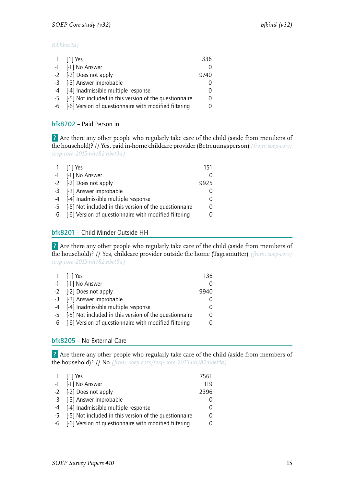#### *82:hbet2a)*

| 1 $[1]$ Yes                                               | 336  |
|-----------------------------------------------------------|------|
| -1 [-1] No Answer                                         |      |
| -2 [-2] Does not apply                                    | 9740 |
| -3 [-3] Answer improbable                                 |      |
| -4 [-4] Inadmissible multiple response                    |      |
| -5 [-5] Not included in this version of the questionnaire |      |
| -6 [-6] Version of questionnaire with modified filtering  |      |
|                                                           |      |

#### <span id="page-16-0"></span>bfk8202 – Paid Person in

? Are there any other people who regularly take care of the child (aside from members of the household)? // Yes, paid in-home childcare provider (Betreuungsperson) *(from: soep-core/ soep-core-2015-hh/82:hbet3a)*

| 1 [1] Yes                                                 | 151  |
|-----------------------------------------------------------|------|
| -1 [-1] No Answer                                         |      |
| -2 [-2] Does not apply                                    | 9925 |
| -3 [-3] Answer improbable                                 |      |
| -4 [-4] Inadmissible multiple response                    |      |
| -5 [-5] Not included in this version of the questionnaire |      |
| -6 [-6] Version of questionnaire with modified filtering  |      |

#### <span id="page-16-1"></span>bfk8201 – Child Minder Outside HH

? Are there any other people who regularly take care of the child (aside from members of the household)? // Yes, childcare provider outside the home (Tagesmutter) *(from: soep-core/ soep-core-2015-hh/82:hbet5a)*

| $1$ [1] Yes                                               | 136. |
|-----------------------------------------------------------|------|
| -1 [-1] No Answer                                         |      |
| -2 [-2] Does not apply                                    | 9940 |
| -3 [-3] Answer improbable                                 |      |
| -4 [-4] Inadmissible multiple response                    | 0    |
| -5 [-5] Not included in this version of the questionnaire | 0    |
| -6 [-6] Version of questionnaire with modified filtering  | 0    |

#### <span id="page-16-2"></span>bfk8205 – No External Care

? Are there any other people who regularly take care of the child (aside from members of the household)? // No *(from: soep-core/soep-core-2015-hh/82:hbet4a)*

| 1 $[1]$ Yes                                               | 7561 |
|-----------------------------------------------------------|------|
| -1 [-1] No Answer                                         | 119  |
| -2 [-2] Does not apply                                    | 2396 |
| -3 [-3] Answer improbable                                 | 0    |
| -4 [-4] Inadmissible multiple response                    | 0    |
| -5 [-5] Not included in this version of the questionnaire | 0    |
| -6 [-6] Version of questionnaire with modified filtering  | 0    |
|                                                           |      |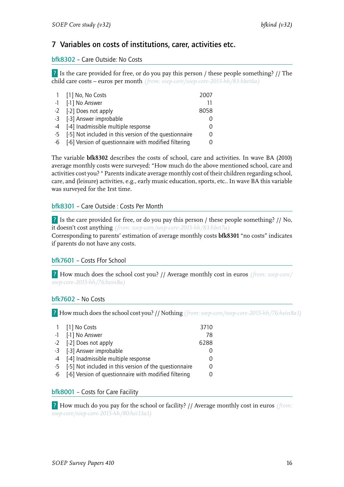## <span id="page-17-0"></span>7 Variables on costs of institutions, carer, activities etc.

#### bfk8302 – Care Outside: No Costs

? Is the care provided for free, or do you pay this person / these people something? // The child care costs – euros per month *(from: soep-core/soep-core-2015-hh/83:hbet6a)*

| 1 [1] No, No Costs                                        | 2007 |
|-----------------------------------------------------------|------|
| -1 [-1] No Answer                                         |      |
| -2 [-2] Does not apply                                    | 8058 |
| -3 [-3] Answer improbable                                 | Ω    |
| -4 [-4] Inadmissible multiple response                    | Ω    |
| -5 [-5] Not included in this version of the questionnaire | 0    |
| -6 [-6] Version of questionnaire with modified filtering  | 0    |
|                                                           |      |

The variable **bfk8302** describes the costs of school, care and activities. In wave BA (2010) average monthly costs were surveyed: "How much do the above mentioned school, care and activities cost you? " Parents indicate average monthly cost of their children regarding school, care, and (leisure) activities, e.g., early music education, sports, etc.. In wave BA this variable was surveyed for the 1rst time.

#### bfk8301 – Care Outside : Costs Per Month

? Is the care provided for free, or do you pay this person / these people something? // No, it doesn't cost anything *(from: soep-core/soep-core-2015-hh/83:hbet7a)*

Corresponding to parents' estimation of average monthly costs **bfk8301** "no costs" indicates if parents do not have any costs.

#### <span id="page-17-1"></span>bfk7601 – Costs Ffor School

? How much does the school cost you? // Average monthly cost in euros *(from: soep-core/ soep-core-2015-hh/76:hein8a)*

#### <span id="page-17-2"></span>bfk7602 – No Costs

? How much does the school cost you? // Nothing *(from: soep-core/soep-core-2015-hh/76:hein8a1)*

|      | 1 [1] No Costs                                         | 3710 |
|------|--------------------------------------------------------|------|
|      | -1 [-1] No Answer                                      | 78   |
|      | -2 [-2] Does not apply                                 | 6288 |
|      | -3 [-3] Answer improbable                              |      |
|      | -4 [-4] Inadmissible multiple response                 |      |
| $-5$ | [-5] Not included in this version of the questionnaire |      |
| -6   | [-6] Version of questionnaire with modified filtering  |      |

#### <span id="page-17-3"></span>bfk8001 – Costs for Care Facility

? How much do you pay for the school or facility? // Average monthly cost in euros *(from: soep-core/soep-core-2015-hh/80:hei13a1)*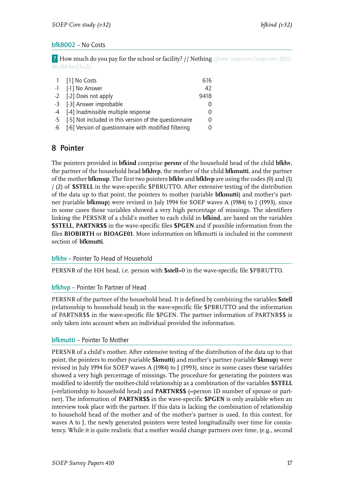#### <span id="page-18-0"></span>bfk8002 – No Costs

? How much do you pay for the school or facility? // Nothing *(from: soep-core/soep-core-2015 hh/80:hei13a2)*

| 1 [1] No Costs                                            | 616              |
|-----------------------------------------------------------|------------------|
| -1 [-1] No Answer                                         | 42               |
| -2 [-2] Does not apply                                    | 9418             |
| -3 [-3] Answer improbable                                 |                  |
| -4 [-4] Inadmissible multiple response                    | $\left( \right)$ |
| -5 [-5] Not included in this version of the questionnaire |                  |
| -6 [-6] Version of questionnaire with modified filtering  |                  |

### <span id="page-18-1"></span>8 Pointer

The pointers provided in **bfkind** comprise **persnr** of the household head of the child **bfkhv**, the partner of the household head **bfkhvp**, the mother of the child **bfkmutti**, and the partner of the mother **bfkmup**. The first two pointers **bfkhv** and **bfkhvp** are using the codes (0) and (1) / (2) of **\$STELL** in the wave-specific \$PBRUTTO. After extensive testing of the distribution of the data up to that point, the pointers to mother (variable **bfkmutti**) and mother's partner (variable **bfkmup**) were revised in July 1994 for SOEP waves A (1984) to J (1993), since in some cases these variables showed a very high percentage of missings. The identifiers linking the PERSNR of a child's mother to each child in **bfkind**, are based on the variables **\$STELL**, **PARTNR\$\$** in the wave-specific files **\$PGEN** and if possible information from the files **BIOBIRTH** or **BIOAGE01**. More information on bfkmutti is included in the comment section of **bfkmutti**.

#### <span id="page-18-2"></span>bfkhv – Pointer To Head of Household

PERSNR of the HH head, i.e. person with **\$stell**=0 in the wave-specific file \$PBRUTTO.

#### bfkhvp – Pointer To Partner of Head

PERSNR of the partner of the household head. It is defined by combining the variables **\$stell** (relationship to household head) in the wave-specific file \$PBRUTTO and the information of PARTNR\$\$ in the wave-specific file \$PGEN. The partner information of PARTNR\$\$ is only taken into account when an individual provided the information.

#### bfkmutti – Pointer To Mother

PERSNR of a child's mother. After extensive testing of the distribution of the data up to that point, the pointers to mother (variable **\$kmutti**) and mother's partner (variable **\$kmup**) were revised in July 1994 for SOEP waves A (1984) to J (1993), since in some cases these variables showed a very high percentage of missings. The procedure for generating the pointers was modified to identify the mother-child relationship as a combination of the variables **\$STELL** (=relationship to household head) and **PARTNR\$\$** (=person ID number of spouse or partner). The information of **PARTNR\$\$** in the wave-specific **\$PGEN** is only available when an interview took place with the partner. If this data is lacking the combination of relationship to household head of the mother and of the mother's partner is used. In this context, for waves A to J, the newly generated pointers were tested longitudinally over time for consistency. While it is quite realistic that a mother would change partners over time, (e.g., second